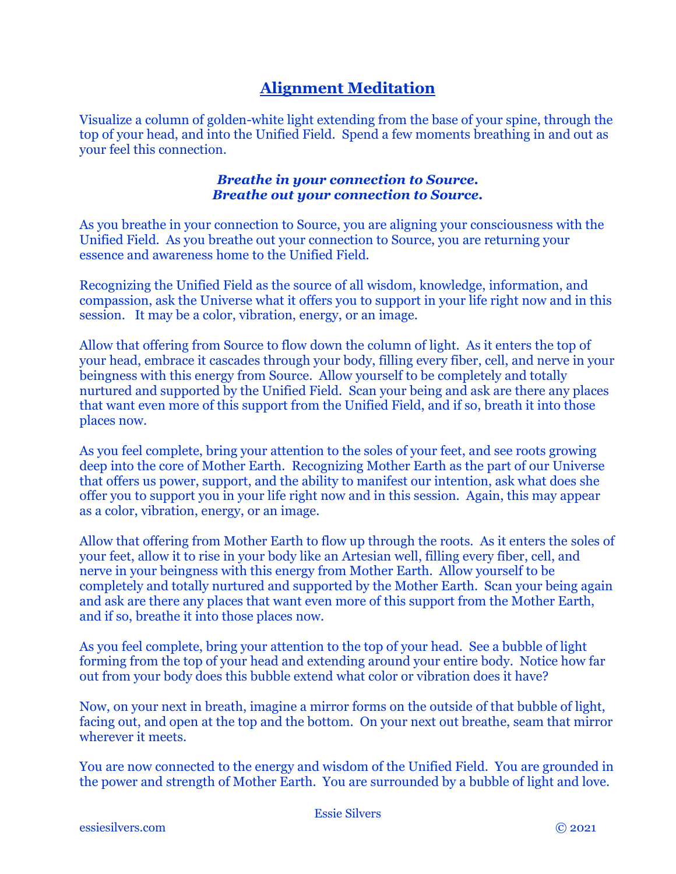# **Alignment Meditation**

Visualize a column of golden-white light extending from the base of your spine, through the top of your head, and into the Unified Field. Spend a few moments breathing in and out as your feel this connection.

#### *Breathe in your connection to Source. Breathe out your connection to Source.*

As you breathe in your connection to Source, you are aligning your consciousness with the Unified Field. As you breathe out your connection to Source, you are returning your essence and awareness home to the Unified Field.

Recognizing the Unified Field as the source of all wisdom, knowledge, information, and compassion, ask the Universe what it offers you to support in your life right now and in this session. It may be a color, vibration, energy, or an image.

Allow that offering from Source to flow down the column of light. As it enters the top of your head, embrace it cascades through your body, filling every fiber, cell, and nerve in your beingness with this energy from Source. Allow yourself to be completely and totally nurtured and supported by the Unified Field. Scan your being and ask are there any places that want even more of this support from the Unified Field, and if so, breath it into those places now.

As you feel complete, bring your attention to the soles of your feet, and see roots growing deep into the core of Mother Earth. Recognizing Mother Earth as the part of our Universe that offers us power, support, and the ability to manifest our intention, ask what does she offer you to support you in your life right now and in this session. Again, this may appear as a color, vibration, energy, or an image.

Allow that offering from Mother Earth to flow up through the roots. As it enters the soles of your feet, allow it to rise in your body like an Artesian well, filling every fiber, cell, and nerve in your beingness with this energy from Mother Earth. Allow yourself to be completely and totally nurtured and supported by the Mother Earth. Scan your being again and ask are there any places that want even more of this support from the Mother Earth, and if so, breathe it into those places now.

As you feel complete, bring your attention to the top of your head. See a bubble of light forming from the top of your head and extending around your entire body. Notice how far out from your body does this bubble extend what color or vibration does it have?

Now, on your next in breath, imagine a mirror forms on the outside of that bubble of light, facing out, and open at the top and the bottom. On your next out breathe, seam that mirror wherever it meets.

You are now connected to the energy and wisdom of the Unified Field. You are grounded in the power and strength of Mother Earth. You are surrounded by a bubble of light and love.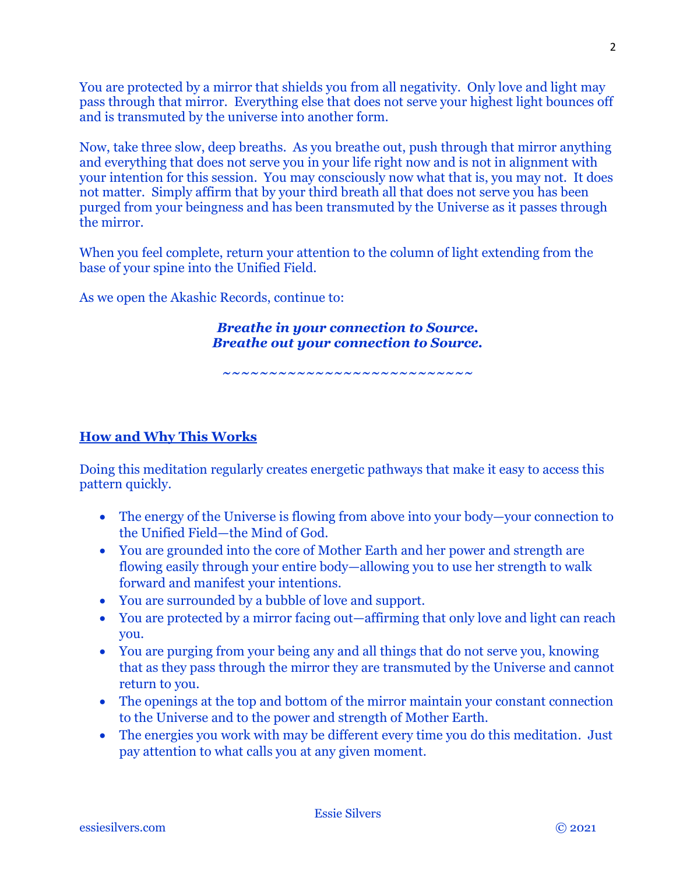You are protected by a mirror that shields you from all negativity. Only love and light may pass through that mirror. Everything else that does not serve your highest light bounces off and is transmuted by the universe into another form.

Now, take three slow, deep breaths. As you breathe out, push through that mirror anything and everything that does not serve you in your life right now and is not in alignment with your intention for this session. You may consciously now what that is, you may not. It does not matter. Simply affirm that by your third breath all that does not serve you has been purged from your beingness and has been transmuted by the Universe as it passes through the mirror.

When you feel complete, return your attention to the column of light extending from the base of your spine into the Unified Field.

As we open the Akashic Records, continue to:

*Breathe in your connection to Source. Breathe out your connection to Source.*

*~~~~~~~~~~~~~~~~~~~~~~~~~~~*

# **How and Why This Works**

Doing this meditation regularly creates energetic pathways that make it easy to access this pattern quickly.

- The energy of the Universe is flowing from above into your body—your connection to the Unified Field—the Mind of God.
- You are grounded into the core of Mother Earth and her power and strength are flowing easily through your entire body—allowing you to use her strength to walk forward and manifest your intentions.
- You are surrounded by a bubble of love and support.
- You are protected by a mirror facing out—affirming that only love and light can reach you.
- You are purging from your being any and all things that do not serve you, knowing that as they pass through the mirror they are transmuted by the Universe and cannot return to you.
- The openings at the top and bottom of the mirror maintain your constant connection to the Universe and to the power and strength of Mother Earth.
- The energies you work with may be different every time you do this meditation. Just pay attention to what calls you at any given moment.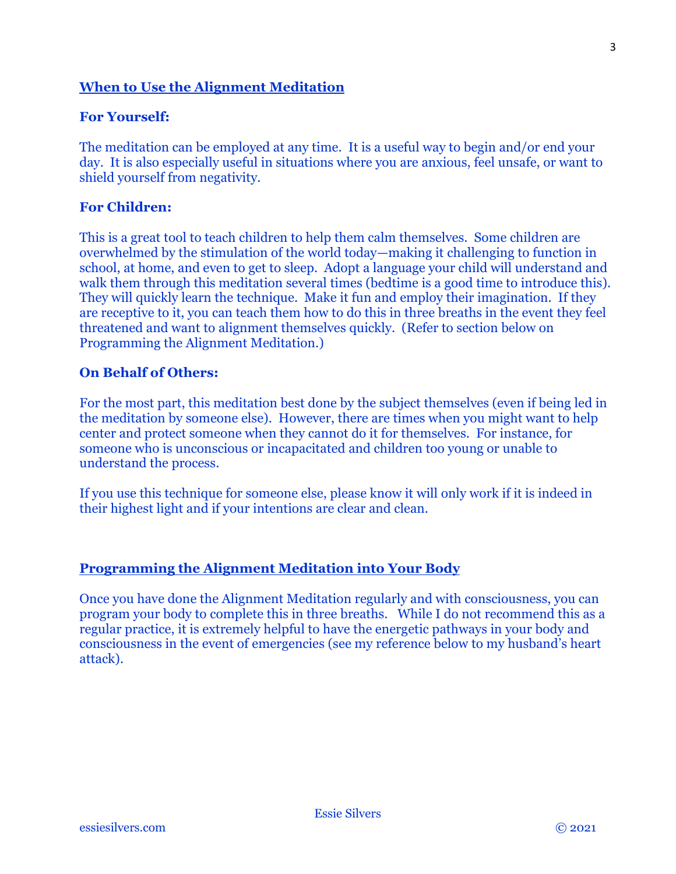#### **When to Use the Alignment Meditation**

#### **For Yourself:**

The meditation can be employed at any time. It is a useful way to begin and/or end your day. It is also especially useful in situations where you are anxious, feel unsafe, or want to shield yourself from negativity.

## **For Children:**

This is a great tool to teach children to help them calm themselves. Some children are overwhelmed by the stimulation of the world today—making it challenging to function in school, at home, and even to get to sleep. Adopt a language your child will understand and walk them through this meditation several times (bedtime is a good time to introduce this). They will quickly learn the technique. Make it fun and employ their imagination. If they are receptive to it, you can teach them how to do this in three breaths in the event they feel threatened and want to alignment themselves quickly. (Refer to section below on Programming the Alignment Meditation.)

#### **On Behalf of Others:**

For the most part, this meditation best done by the subject themselves (even if being led in the meditation by someone else). However, there are times when you might want to help center and protect someone when they cannot do it for themselves. For instance, for someone who is unconscious or incapacitated and children too young or unable to understand the process.

If you use this technique for someone else, please know it will only work if it is indeed in their highest light and if your intentions are clear and clean.

## **Programming the Alignment Meditation into Your Body**

Once you have done the Alignment Meditation regularly and with consciousness, you can program your body to complete this in three breaths. While I do not recommend this as a regular practice, it is extremely helpful to have the energetic pathways in your body and consciousness in the event of emergencies (see my reference below to my husband's heart attack).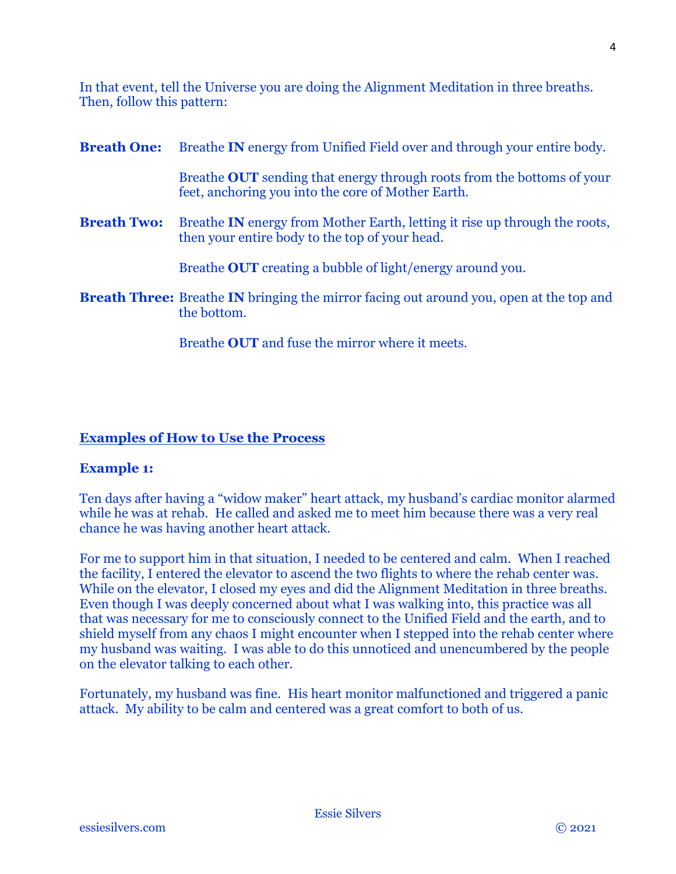4

In that event, tell the Universe you are doing the Alignment Meditation in three breaths. Then, follow this pattern:

| <b>Breath One:</b> | Breathe <b>IN</b> energy from Unified Field over and through your entire body.                                                      |
|--------------------|-------------------------------------------------------------------------------------------------------------------------------------|
|                    | Breathe <b>OUT</b> sending that energy through roots from the bottoms of your<br>feet, anchoring you into the core of Mother Earth. |
| <b>Breath Two:</b> | Breathe <b>IN</b> energy from Mother Earth, letting it rise up through the roots,<br>then your entire body to the top of your head. |
|                    | Breathe <b>OUT</b> creating a bubble of light/energy around you.                                                                    |
|                    | <b>Breath Three:</b> Breathe <b>IN</b> bringing the mirror facing out around you, open at the top and<br>the bottom.                |

Breathe **OUT** and fuse the mirror where it meets.

# **Examples of How to Use the Process**

## **Example 1:**

Ten days after having a "widow maker" heart attack, my husband's cardiac monitor alarmed while he was at rehab. He called and asked me to meet him because there was a very real chance he was having another heart attack.

For me to support him in that situation, I needed to be centered and calm. When I reached the facility, I entered the elevator to ascend the two flights to where the rehab center was. While on the elevator, I closed my eyes and did the Alignment Meditation in three breaths. Even though I was deeply concerned about what I was walking into, this practice was all that was necessary for me to consciously connect to the Unified Field and the earth, and to shield myself from any chaos I might encounter when I stepped into the rehab center where my husband was waiting. I was able to do this unnoticed and unencumbered by the people on the elevator talking to each other.

Fortunately, my husband was fine. His heart monitor malfunctioned and triggered a panic attack. My ability to be calm and centered was a great comfort to both of us.